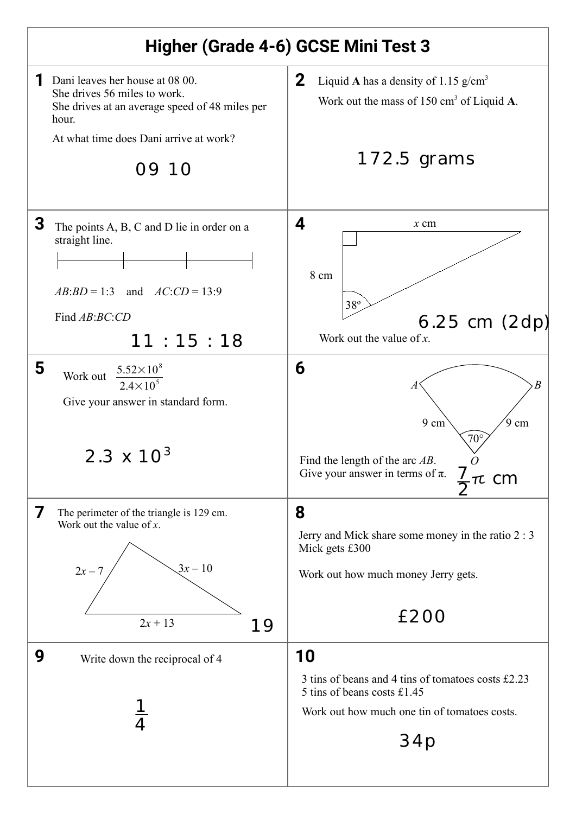